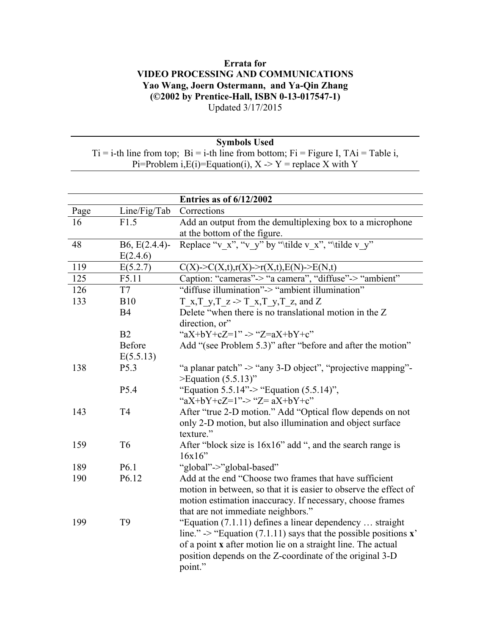## **Errata for VIDEO PROCESSING AND COMMUNICATIONS Yao Wang, Joern Ostermann, and Ya-Qin Zhang (©2002 by Prentice-Hall, ISBN 0-13-017547-1)** Updated 3/17/2015

## **Symbols Used**

 $Ti = i-th$  line from top;  $Bi = i-th$  line from bottom;  $Fi = Figure I$ ,  $TAi = Table i$ , Pi=Problem i,  $E(i)$ =Equation(i),  $X \rightarrow Y$  = replace X with Y

|      |                  | <b>Entries as of 6/12/2002</b>                                               |
|------|------------------|------------------------------------------------------------------------------|
| Page | Line/Fig/Tab     | Corrections                                                                  |
| 16   | F1.5             | Add an output from the demultiplexing box to a microphone                    |
|      |                  | at the bottom of the figure.                                                 |
| 48   | $B6, E(2.4.4)$ - | Replace "v_x", "v_y" by "\tilde v_x", "\tilde v_y"                           |
|      | E(2.4.6)         |                                                                              |
| 119  | E(5.2.7)         | $C(X)$ -> $C(X,t)$ ,r(X)->r(X,t),E(N)->E(N,t)                                |
| 125  | F5.11            | Caption: "cameras"-> "a camera", "diffuse"-> "ambient"                       |
| 126  | T7               | "diffuse illumination"-> "ambient illumination"                              |
| 133  | <b>B10</b>       | T x,T y,T z $\ge$ T x,T y,T z, and Z                                         |
|      | <b>B4</b>        | Delete "when there is no translational motion in the Z                       |
|      |                  | direction, or"                                                               |
|      | B2               | "aX+bY+cZ=1" -> "Z=aX+bY+c"                                                  |
|      | Before           | Add "(see Problem 5.3)" after "before and after the motion"                  |
|      | E(5.5.13)        |                                                                              |
| 138  | P <sub>5.3</sub> | "a planar patch" -> "any 3-D object", "projective mapping"-                  |
|      |                  | $\geq$ Equation (5.5.13)"                                                    |
|      | P <sub>5.4</sub> | "Equation 5.5.14"-> "Equation $(5.5.14)$ ",                                  |
|      |                  | "aX+bY+cZ=1"-> "Z= aX+bY+c"                                                  |
| 143  | T <sub>4</sub>   | After "true 2-D motion." Add "Optical flow depends on not                    |
|      |                  | only 2-D motion, but also illumination and object surface                    |
|      |                  | texture."                                                                    |
| 159  | T <sub>6</sub>   | After "block size is 16x16" add ", and the search range is                   |
|      |                  | 16x16"                                                                       |
| 189  | P6.1             | "global"->"global-based"                                                     |
| 190  | P6.12            | Add at the end "Choose two frames that have sufficient                       |
|      |                  | motion in between, so that it is easier to observe the effect of             |
|      |                  | motion estimation inaccuracy. If necessary, choose frames                    |
|      |                  | that are not immediate neighbors."                                           |
| 199  | T <sub>9</sub>   | "Equation $(7.1.11)$ defines a linear dependency  straight                   |
|      |                  | line." -> "Equation (7.1.11) says that the possible positions $\mathbf{x}$ " |
|      |                  | of a point x after motion lie on a straight line. The actual                 |
|      |                  | position depends on the Z-coordinate of the original 3-D                     |
|      |                  | point."                                                                      |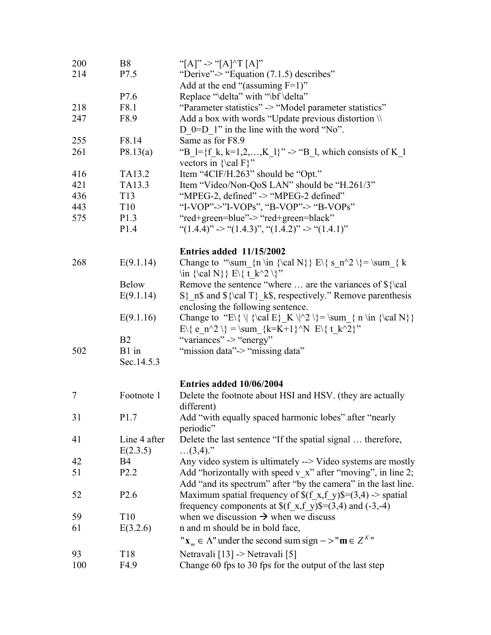| 200    | <b>B8</b>                | "[A]" -> "[A]^T [A]"                                                                                                     |
|--------|--------------------------|--------------------------------------------------------------------------------------------------------------------------|
| 214    | P7.5                     | "Derive" $\rightarrow$ "Equation (7.1.5) describes"                                                                      |
|        |                          | Add at the end "(assuming $F=1$ )"                                                                                       |
|        | P7.6                     | Replace "\delta" with "\bf \delta"                                                                                       |
| 218    | F8.1                     | "Parameter statistics" -> "Model parameter statistics"                                                                   |
| 247    | F8.9                     | Add a box with words "Update previous distortion \\                                                                      |
|        |                          | D $0=$ D 1" in the line with the word "No".                                                                              |
| 255    | F8.14                    | Same as for F8.9                                                                                                         |
| 261    | P8.13(a)                 | "B_l={f_k, k=1,2,,K_l}" -> "B_l, which consists of K_l<br>vectors in $\cal$ al F $\$                                     |
| 416    | TA13.2                   | Item "4CIF/H.263" should be "Opt."                                                                                       |
| 421    | TA13.3                   | Item "Video/Non-QoS LAN" should be "H.261/3"                                                                             |
| 436    | T <sub>13</sub>          | "MPEG-2, defined" -> "MPEG-2 defined"                                                                                    |
| 443    | T <sub>10</sub>          | "I-VOP"->"I-VOPs", "B-VOP"-> "B-VOPs"                                                                                    |
| 575    | P1.3                     | "red+green=blue"-> "red+green=black"                                                                                     |
|        | P1.4                     | " $(1.4.4)$ " -> " $(1.4.3)$ ", " $(1.4.2)$ " -> " $(1.4.1)$ "                                                           |
|        |                          | <b>Entries added 11/15/2002</b>                                                                                          |
| 268    | E(9.1.14)                | Change to "\sum {n \in {\cal N}} E\{ s n^2 \} = \sum { k<br>$\in \{\cal N\} \ E\{\ t_k^2 \}$                             |
|        | <b>Below</b>             | Remove the sentence "where  are the variances of \${\cal                                                                 |
|        | E(9.1.14)                | $S\_{n\$ and $\{\cal T\}_{k\$ , respectively." Remove parenthesis<br>enclosing the following sentence.                   |
|        | E(9.1.16)                | Change to "E\{ \  {\cal E} _K \ ^2 \} = \sum_{ n \in {\cal N}}<br>$E\{\ e_n^2 \} = \sum_{k=K+1}^N E\{ t_k^2 \}''$        |
|        | B <sub>2</sub>           | "variances" -> "energy"                                                                                                  |
| 502    | B1 in<br>Sec.14.5.3      | "mission data" -> "missing data"                                                                                         |
|        |                          |                                                                                                                          |
|        |                          | Entries added 10/06/2004                                                                                                 |
| $\tau$ | Footnote 1               | Delete the footnote about HSI and HSV. (they are actually<br>different)                                                  |
| 31     | P1.7                     | Add "with equally spaced harmonic lobes" after "nearly<br>periodic"                                                      |
| 41     | Line 4 after<br>E(2.3.5) | Delete the last sentence "If the spatial signal  therefore,<br>$(3,4)$ .                                                 |
| 42     | <b>B4</b>                | Any video system is ultimately --> Video systems are mostly                                                              |
| 51     | P <sub>2.2</sub>         | Add "horizontally with speed $v \times v$ " after "moving", in line 2;                                                   |
|        |                          | Add "and its spectrum" after "by the camera" in the last line.                                                           |
| 52     | P <sub>2.6</sub>         | Maximum spatial frequency of $f(x, f_y) = (3, 4)$ -> spatial<br>frequency components at $$(f_x,f_y)\$ =(3,4) and (-3,-4) |
| 59     | T <sub>10</sub>          | when we discussion $\rightarrow$ when we discuss                                                                         |
| 61     | E(3.2.6)                 | n and m should be in bold face,                                                                                          |
|        |                          | " $\mathbf{x}_m \in \Lambda$ " under the second sum sign $-\Sigma$ " m $\in \mathbb{Z}^K$ "                              |
| 93     | T <sub>18</sub>          | Netravali [13] -> Netravali [5]                                                                                          |
| 100    | F4.9                     | Change 60 fps to 30 fps for the output of the last step                                                                  |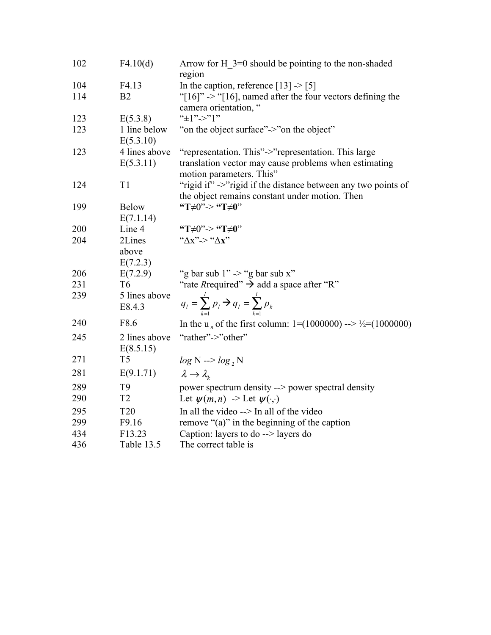| 102 | F4.10(d)                  | Arrow for H $3=0$ should be pointing to the non-shaded                               |
|-----|---------------------------|--------------------------------------------------------------------------------------|
|     |                           | region                                                                               |
| 104 | F4.13                     | In the caption, reference $[13]$ -> $[5]$                                            |
| 114 | B <sub>2</sub>            | "[ $16$ ]" -> "[ $16$ ], named after the four vectors defining the                   |
|     |                           | camera orientation, "                                                                |
| 123 | E(5.3.8)                  | " $\pm$ 1"->"1"                                                                      |
| 123 | 1 line below<br>E(5.3.10) | "on the object surface"->"on the object"                                             |
| 123 | 4 lines above             | "representation. This"->"representation. This large                                  |
|     | E(5.3.11)                 | translation vector may cause problems when estimating<br>motion parameters. This"    |
| 124 | T1                        | "rigid if" ->"rigid if the distance between any two points of                        |
|     |                           | the object remains constant under motion. Then                                       |
| 199 | <b>Below</b>              | "T $\neq$ 0"-> "T $\neq$ 0"                                                          |
|     | E(7.1.14)                 |                                                                                      |
| 200 | Line 4                    | "T $\neq$ 0"-> "T $\neq$ 0"                                                          |
| 204 | 2Lines                    | " $\Delta x$ "> " $\Delta x$ "                                                       |
|     | above                     |                                                                                      |
|     | E(7.2.3)                  |                                                                                      |
| 206 | E(7.2.9)                  | "g bar sub 1" -> "g bar sub x"                                                       |
| 231 | T <sub>6</sub>            | "rate Required" $\rightarrow$ add a space after "R"                                  |
| 239 | 5 lines above             |                                                                                      |
|     | E8.4.3                    | $q_l = \sum_{k=1}^{l} p_l \rightarrow q_l = \sum_{k=1}^{l} p_k$                      |
| 240 | F8.6                      | In the u <sub>n</sub> of the first column: $1=(1000000)$ --> $\frac{1}{2}=(1000000)$ |
| 245 | 2 lines above             | "rather"->"other"                                                                    |
|     | E(8.5.15)                 |                                                                                      |
| 271 | T <sub>5</sub>            | $log N \rightarrow log_2 N$                                                          |
| 281 | E(9.1.71)                 | $\lambda \rightarrow \lambda_{\iota}$                                                |
| 289 | T <sub>9</sub>            | power spectrum density --> power spectral density                                    |
| 290 | T <sub>2</sub>            | Let $\psi(m,n) \rightarrow$ Let $\psi(\cdot,\cdot)$                                  |
| 295 | <b>T20</b>                | In all the video --> In all of the video                                             |
| 299 | F9.16                     | remove "(a)" in the beginning of the caption                                         |
| 434 | F13.23                    | Caption: layers to do $\rightarrow$ layers do                                        |
| 436 | Table 13.5                | The correct table is                                                                 |